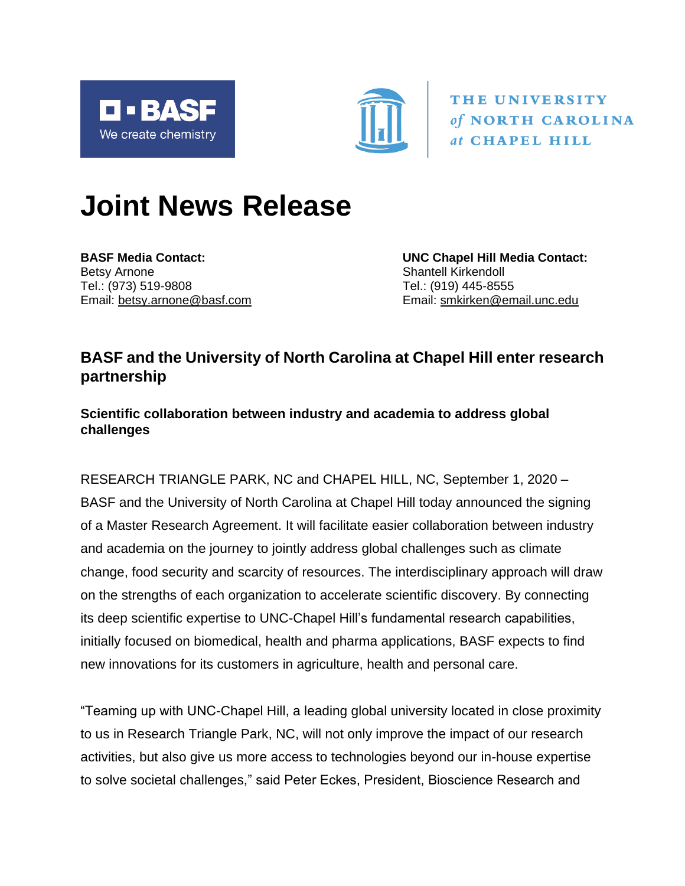



THE UNIVERSITY of NORTH CAROLINA at CHAPEL HILL

# **Joint News Release**

Betsy Arnone **Shantell Kirkendoll** Shantell Kirkendoll Tel.: (973) 519-9808 Tel.: (919) 445-8555

**BASF Media Contact: UNC Chapel Hill Media Contact:** Email: [betsy.arnone@basf.com](mailto:betsy.arnone@basf.com) Email: [smkirken@email.unc.edu](mailto:smkirken@email.unc.edu)

## **BASF and the University of North Carolina at Chapel Hill enter research partnership**

## **Scientific collaboration between industry and academia to address global challenges**

RESEARCH TRIANGLE PARK, NC and CHAPEL HILL, NC, September 1, 2020 – BASF and the University of North Carolina at Chapel Hill today announced the signing of a Master Research Agreement. It will facilitate easier collaboration between industry and academia on the journey to jointly address global challenges such as climate change, food security and scarcity of resources. The interdisciplinary approach will draw on the strengths of each organization to accelerate scientific discovery. By connecting its deep scientific expertise to UNC-Chapel Hill's fundamental research capabilities, initially focused on biomedical, health and pharma applications, BASF expects to find new innovations for its customers in agriculture, health and personal care.

"Teaming up with UNC-Chapel Hill, a leading global university located in close proximity to us in Research Triangle Park, NC, will not only improve the impact of our research activities, but also give us more access to technologies beyond our in-house expertise to solve societal challenges," said Peter Eckes, President, Bioscience Research and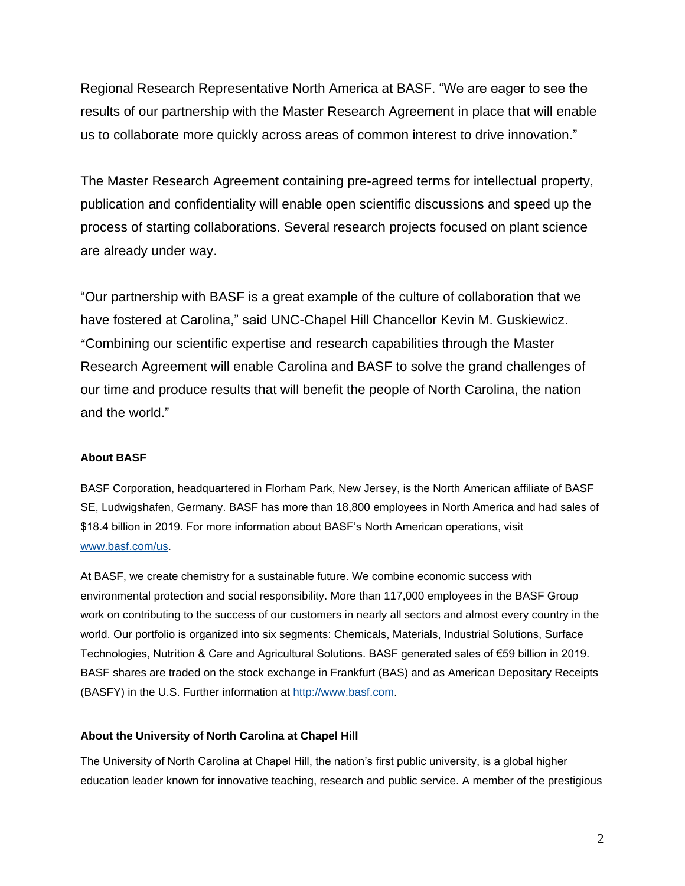Regional Research Representative North America at BASF. "We are eager to see the results of our partnership with the Master Research Agreement in place that will enable us to collaborate more quickly across areas of common interest to drive innovation."

The Master Research Agreement containing pre-agreed terms for intellectual property, publication and confidentiality will enable open scientific discussions and speed up the process of starting collaborations. Several research projects focused on plant science are already under way.

"Our partnership with BASF is a great example of the culture of collaboration that we have fostered at Carolina," said UNC-Chapel Hill Chancellor Kevin M. Guskiewicz. "Combining our scientific expertise and research capabilities through the Master Research Agreement will enable Carolina and BASF to solve the grand challenges of our time and produce results that will benefit the people of North Carolina, the nation and the world."

### **About BASF**

BASF Corporation, headquartered in Florham Park, New Jersey, is the North American affiliate of BASF SE, Ludwigshafen, Germany. BASF has more than 18,800 employees in North America and had sales of \$18.4 billion in 2019. For more information about BASF's North American operations, visit [www.basf.com/us.](https://www.basf.com/us/en.html)

At BASF, we create chemistry for a sustainable future. We combine economic success with environmental protection and social responsibility. More than 117,000 employees in the BASF Group work on contributing to the success of our customers in nearly all sectors and almost every country in the world. Our portfolio is organized into six segments: Chemicals, Materials, Industrial Solutions, Surface Technologies, Nutrition & Care and Agricultural Solutions. BASF generated sales of €59 billion in 2019. BASF shares are traded on the stock exchange in Frankfurt (BAS) and as American Depositary Receipts (BASFY) in the U.S. Further information at [http://www.basf.com.](http://www.basf.com/)

### **About the University of North Carolina at Chapel Hill**

The University of North Carolina at Chapel Hill, the nation's first public university, is a global higher education leader known for innovative teaching, research and public service. A member of the prestigious